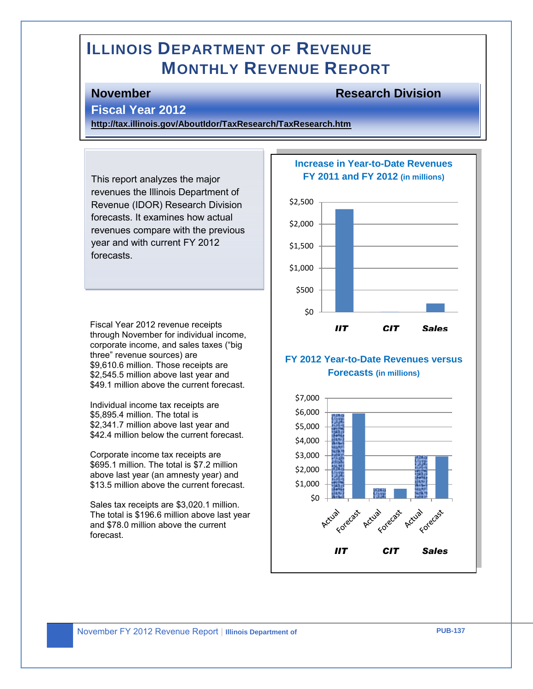# **ILLINOIS DEPARTMENT OF REVENUE MONTHLY REVENUE REPORT**

### **November Research Division**

#### **Fiscal Year 2012**

**<http://tax.illinois.gov/AboutIdor/TaxResearch/TaxResearch.htm>**

This report analyzes the major revenues the Illinois Department of Revenue (IDOR) Research Division forecasts. It examines how actual revenues compare with the previous year and with current FY 2012 forecasts.

Fiscal Year 2012 revenue receipts through November for individual income, corporate income, and sales taxes ("big three" revenue sources) are \$9,610.6 million. Those receipts are \$2,545.5 million above last year and \$49.1 million above the current forecast.

Individual income tax receipts are \$5,895.4 million. The total is \$2,341.7 million above last year and \$42.4 million below the current forecast.

Corporate income tax receipts are \$695.1 million. The total is \$7.2 million above last year (an amnesty year) and \$13.5 million above the current forecast.

Sales tax receipts are \$3,020.1 million. The total is \$196.6 million above last year and \$78.0 million above the current forecast.

#### **Increase in Year-to-Date Revenues FY 2011 and FY 2012 (in millions)**



### **FY 2012 Year-to-Date Revenues versus Forecasts (in millions)**



**Revenue**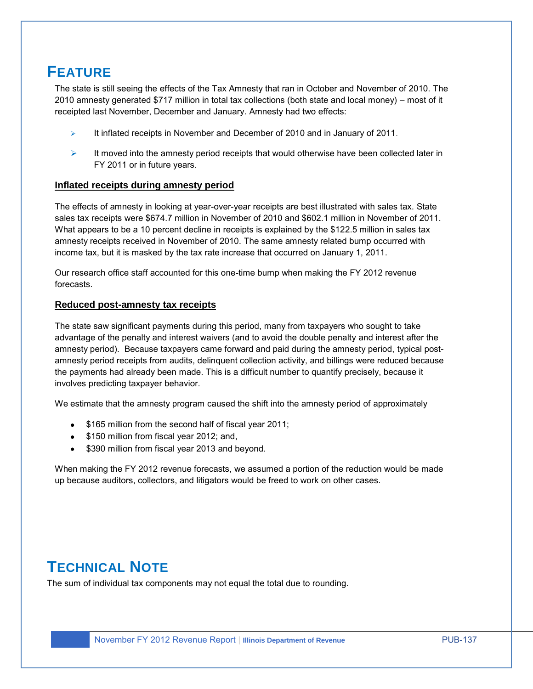# **FEATURE**

The state is still seeing the effects of the Tax Amnesty that ran in October and November of 2010. The 2010 amnesty generated \$717 million in total tax collections (both state and local money) – most of it receipted last November, December and January. Amnesty had two effects:

- $\triangleright$  It inflated receipts in November and December of 2010 and in January of 2011.
- $\triangleright$  It moved into the amnesty period receipts that would otherwise have been collected later in FY 2011 or in future years.

#### **Inflated receipts during amnesty period**

The effects of amnesty in looking at year-over-year receipts are best illustrated with sales tax. State sales tax receipts were \$674.7 million in November of 2010 and \$602.1 million in November of 2011. What appears to be a 10 percent decline in receipts is explained by the \$122.5 million in sales tax amnesty receipts received in November of 2010. The same amnesty related bump occurred with income tax, but it is masked by the tax rate increase that occurred on January 1, 2011.

Our research office staff accounted for this one-time bump when making the FY 2012 revenue forecasts.

#### **Reduced post-amnesty tax receipts**

The state saw significant payments during this period, many from taxpayers who sought to take advantage of the penalty and interest waivers (and to avoid the double penalty and interest after the amnesty period). Because taxpayers came forward and paid during the amnesty period, typical postamnesty period receipts from audits, delinquent collection activity, and billings were reduced because the payments had already been made. This is a difficult number to quantify precisely, because it involves predicting taxpayer behavior.

We estimate that the amnesty program caused the shift into the amnesty period of approximately

- \$165 million from the second half of fiscal year 2011;
- \$150 million from fiscal year 2012; and,
- \$390 million from fiscal year 2013 and beyond.

When making the FY 2012 revenue forecasts, we assumed a portion of the reduction would be made up because auditors, collectors, and litigators would be freed to work on other cases.

# **TECHNICAL NOTE**

The sum of individual tax components may not equal the total due to rounding.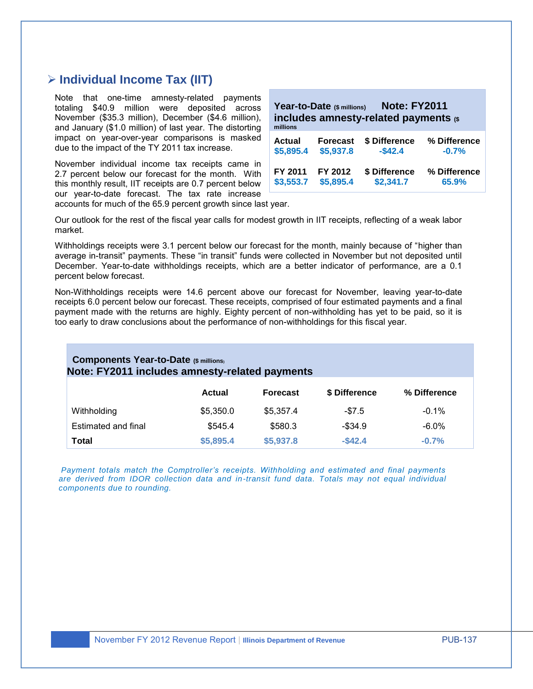# **Individual Income Tax (IIT)**

Note that one-time amnesty-related payments totaling \$40.9 million were deposited across November (\$35.3 million), December (\$4.6 million), and January (\$1.0 million) of last year. The distorting impact on year-over-year comparisons is masked due to the impact of the TY 2011 tax increase.

November individual income tax receipts came in 2.7 percent below our forecast for the month. With this monthly result, IIT receipts are 0.7 percent below our year-to-date forecast. The tax rate increase accounts for much of the 65.9 percent growth since last year.

| <b>Note: FY2011</b><br>Year-to-Date (\$ millions)<br>includes amnesty-related payments (\$<br>millions |                 |               |              |  |
|--------------------------------------------------------------------------------------------------------|-----------------|---------------|--------------|--|
| Actual                                                                                                 | <b>Forecast</b> | \$ Difference | % Difference |  |
| \$5,895.4                                                                                              | \$5,937.8       | $-$42.4$      | $-0.7%$      |  |
| FY 2011                                                                                                | FY 2012         | \$ Difference | % Difference |  |
| \$3,553.7                                                                                              | \$5,895.4       | \$2,341.7     | 65.9%        |  |

Our outlook for the rest of the fiscal year calls for modest growth in IIT receipts, reflecting of a weak labor market.

Withholdings receipts were 3.1 percent below our forecast for the month, mainly because of "higher than average in-transit" payments. These "in transit" funds were collected in November but not deposited until December. Year-to-date withholdings receipts, which are a better indicator of performance, are a 0.1 percent below forecast.

Non-Withholdings receipts were 14.6 percent above our forecast for November, leaving year-to-date receipts 6.0 percent below our forecast. These receipts, comprised of four estimated payments and a final payment made with the returns are highly. Eighty percent of non-withholding has yet to be paid, so it is too early to draw conclusions about the performance of non-withholdings for this fiscal year.

#### **Components Year-to-Date (\$ millions) Note: FY2011 includes amnesty-related payments**

|                     | Actual    | <b>Forecast</b> | \$ Difference | % Difference |
|---------------------|-----------|-----------------|---------------|--------------|
| Withholding         | \$5,350.0 | \$5.357.4       | $-\$7.5$      | $-0.1%$      |
| Estimated and final | \$545.4   | \$580.3         | $-$ \$34.9    | $-6.0\%$     |
| Total               | \$5,895.4 | \$5,937.8       | $-$ \$42.4    | $-0.7%$      |

*Payment totals match the Comptroller's receipts. Withholding and estimated and final payments are derived from IDOR collection data and in-transit fund data. Totals may not equal individual components due to rounding.*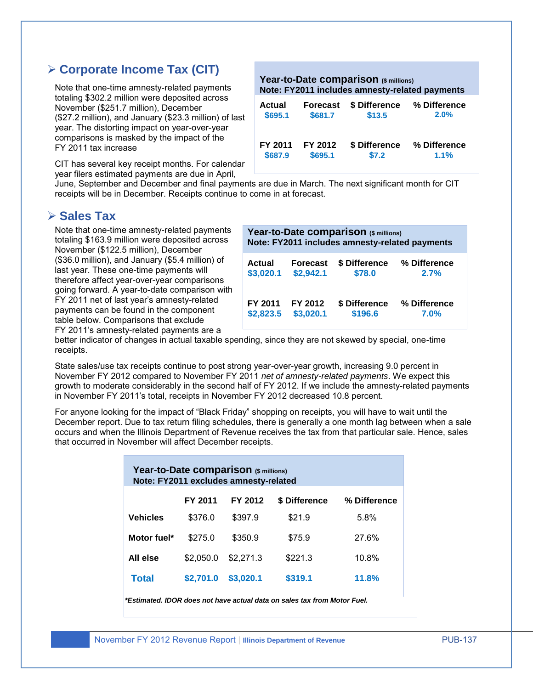# **Corporate Income Tax (CIT)**

Note that one-time amnesty-related payments totaling \$302.2 million were deposited across November (\$251.7 million), December (\$27.2 million), and January (\$23.3 million) of last year. The distorting impact on year-over-year comparisons is masked by the impact of the FY 2011 tax increase

CIT has several key receipt months. For calendar year filers estimated payments are due in April,

**Year-to-Date comparison (\$ millions) Note: FY2011 includes amnesty-related payments Actual Forecast \$ Difference % Difference**

| Auuai   | гинсчаэг | <b>A DILIGEDITE</b> | $\alpha$ directive |
|---------|----------|---------------------|--------------------|
| \$695.1 | \$681.7  | \$13.5              | 2.0%               |
| FY 2011 | FY 2012  | \$ Difference       | % Difference       |
| \$687.9 | \$695.1  | \$7.2               | 1.1%               |

June, September and December and final payments are due in March. The next significant month for CIT receipts will be in December. Receipts continue to come in at forecast.

# **Sales Tax**

Note that one-time amnesty-related payments totaling \$163.9 million were deposited across November (\$122.5 million), December (\$36.0 million), and January (\$5.4 million) of last year. These one-time payments will therefore affect year-over-year comparisons going forward. A year-to-date comparison with FY 2011 net of last year's amnesty-related payments can be found in the component table below. Comparisons that exclude FY 2011's amnesty-related payments are a

| Year-to-Date comparison (\$ millions)<br>Note: FY2011 includes amnesty-related payments |                 |               |              |  |
|-----------------------------------------------------------------------------------------|-----------------|---------------|--------------|--|
| <b>Actual</b>                                                                           | <b>Forecast</b> | \$ Difference | % Difference |  |
| \$3,020.1                                                                               | \$2,942.1       | \$78.0        | 2.7%         |  |
| FY 2011                                                                                 | FY 2012         | \$ Difference | % Difference |  |
| \$2,823.5                                                                               | \$3,020.1       | \$196.6       | 7.0%         |  |

better indicator of changes in actual taxable spending, since they are not skewed by special, one-time receipts.

State sales/use tax receipts continue to post strong year-over-year growth, increasing 9.0 percent in November FY 2012 compared to November FY 2011 *net of amnesty-related payments*. We expect this growth to moderate considerably in the second half of FY 2012. If we include the amnesty-related payments in November FY 2011's total, receipts in November FY 2012 decreased 10.8 percent.

For anyone looking for the impact of "Black Friday" shopping on receipts, you will have to wait until the December report. Due to tax return filing schedules, there is generally a one month lag between when a sale occurs and when the Illinois Department of Revenue receives the tax from that particular sale. Hence, sales that occurred in November will affect December receipts.

| Year-to-Date comparison (\$ millions)<br>Note: FY2011 excludes amnesty-related |           |           |               |              |  |  |
|--------------------------------------------------------------------------------|-----------|-----------|---------------|--------------|--|--|
|                                                                                | FY 2011   | FY 2012   | \$ Difference | % Difference |  |  |
| <b>Vehicles</b>                                                                | \$376.0   | \$397.9   | \$21.9        | 5.8%         |  |  |
| Motor fuel*                                                                    | \$275.0   | \$350.9   | \$75.9        | 27.6%        |  |  |
| All else                                                                       | \$2,050.0 | \$2,271.3 | \$221.3       | 10.8%        |  |  |
| <b>Total</b>                                                                   | \$2.701.0 | \$3.020.1 | \$319.1       | 11.8%        |  |  |

*\*Estimated. IDOR does not have actual data on sales tax from Motor Fuel.*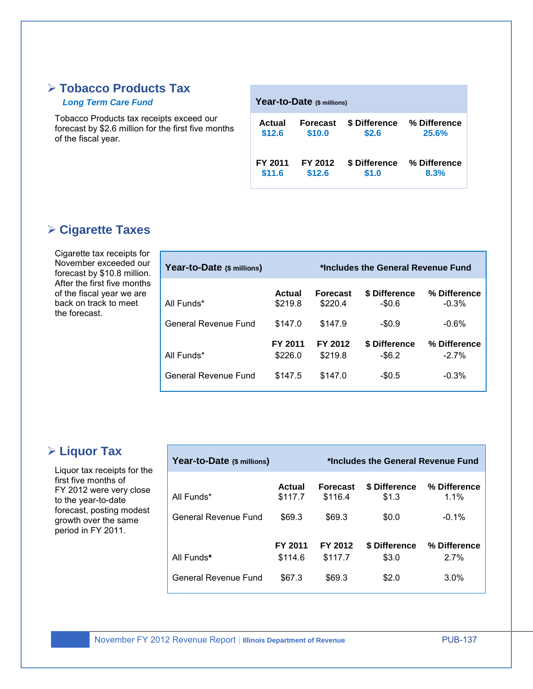# **Tobacco Products Tax**

#### *Long Term Care Fund*

Tobacco Products tax receipts exceed our forecast by \$2.6 million for the first five months of the fiscal year.

| Year-to-Date (\$ millions) |                 |               |              |  |  |
|----------------------------|-----------------|---------------|--------------|--|--|
| Actual                     | <b>Forecast</b> | \$ Difference | % Difference |  |  |
| \$12.6                     | \$10.0          | \$2.6         | 25.6%        |  |  |
| FY 2011                    | FY 2012         | \$ Difference | % Difference |  |  |
| \$11.6                     | \$12.6          | \$1.0         | 8.3%         |  |  |

# **Cigarette Taxes**

Cigarette tax receipts for November exceeded our forecast by \$10.8 million. After the first five months of the fiscal year we are back on track to meet the forecast.

| Year-to-Date (\$ millions) |                    | *Includes the General Revenue Fund |                            |                         |  |
|----------------------------|--------------------|------------------------------------|----------------------------|-------------------------|--|
| All Funds*                 | Actual<br>\$219.8  | <b>Forecast</b><br>\$220.4         | \$ Difference<br>$-\$0.6$  | % Difference<br>$-0.3%$ |  |
| General Revenue Fund       | \$147.0            | \$147.9                            | $-\$0.9$                   | $-0.6%$                 |  |
| All Funds*                 | FY 2011<br>\$226.0 | FY 2012<br>\$219.8                 | \$ Difference<br>$-$ \$6.2 | % Difference<br>$-2.7%$ |  |
| General Revenue Fund       | \$147.5            | \$147.0                            | $-$0.5$                    | $-0.3%$                 |  |

# **Liquor Tax**

Liquor tax receipts for the first five months of FY 2012 were very close to the year-to-date forecast, posting modest growth over the same period in FY 2011.

| Year-to-Date (\$ millions)<br>*Includes the General Revenue Fund |                    |                            |                        |                         |
|------------------------------------------------------------------|--------------------|----------------------------|------------------------|-------------------------|
| All Funds*                                                       | Actual<br>\$117.7  | <b>Forecast</b><br>\$116.4 | \$ Difference<br>\$1.3 | % Difference<br>$1.1\%$ |
| General Revenue Fund                                             | \$69.3             | \$69.3                     | \$0.0                  | $-0.1\%$                |
| All Funds*                                                       | FY 2011<br>\$114.6 | FY 2012<br>\$117.7         | \$ Difference<br>\$3.0 | % Difference<br>2.7%    |
| General Revenue Fund                                             | \$67.3             | \$69.3                     | \$2.0                  | $3.0\%$                 |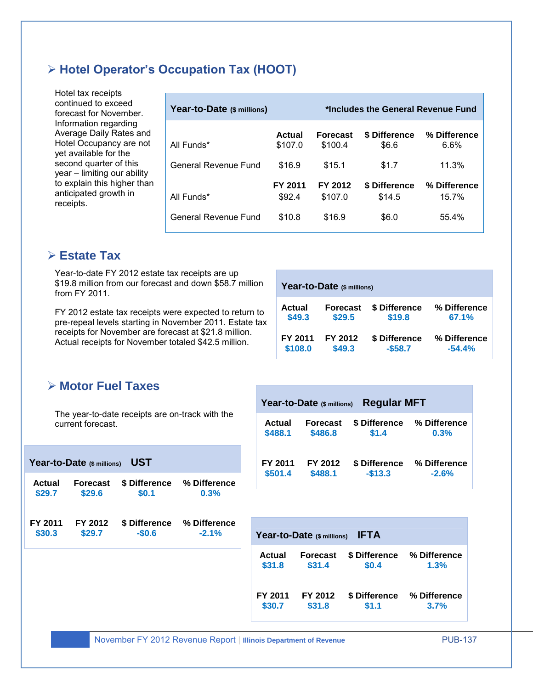# **Hotel Operator's Occupation Tax (HOOT)**

Hotel tax receipts continued to exceed forecast for November. Information regarding Average Daily Rates and Hotel Occupancy are not yet available for the second quarter of this year – limiting our ability to explain this higher than anticipated growth in receipts.

| Year-to-Date (\$ millions) |                   | *Includes the General Revenue Fund |                         |                          |  |
|----------------------------|-------------------|------------------------------------|-------------------------|--------------------------|--|
| All Funds*                 | Actual<br>\$107.0 | <b>Forecast</b><br>\$100.4         | \$ Difference<br>\$6.6  | % Difference<br>6.6%     |  |
| General Revenue Fund       | \$16.9            | \$15.1                             | \$1.7                   | 11.3%                    |  |
| All Funds*                 | FY 2011<br>\$92.4 | FY 2012<br>\$107.0                 | \$ Difference<br>\$14.5 | % Difference<br>$15.7\%$ |  |
| General Revenue Fund       | \$10.8            | \$16.9                             | \$6.0                   | 55.4%                    |  |

# **Estate Tax**

Year-to-date FY 2012 estate tax receipts are up \$19.8 million from our forecast and down \$58.7 million from FY 2011.

FY 2012 estate tax receipts were expected to return to pre-repeal levels starting in November 2011. Estate tax receipts for November are forecast at \$21.8 million. Actual receipts for November totaled \$42.5 million.

| Year-to-Date (\$ millions) |                 |               |              |  |  |
|----------------------------|-----------------|---------------|--------------|--|--|
| Actual                     | <b>Forecast</b> | \$ Difference | % Difference |  |  |
| \$49.3                     | \$29.5          | \$19.8        | 67.1%        |  |  |
| FY 2011                    | FY 2012         | \$ Difference | % Difference |  |  |
| \$108.0                    | \$49.3          | $-$ \$58.7    | $-54.4%$     |  |  |

# **Motor Fuel Taxes**

The year-to-date receipts are on-track with the current forecast.

|                   | <b>UST</b><br>Year-to-Date (\$ millions) |                          |                         |  |                         | FY 2011<br>FY 2012         | \$ Diffe            |
|-------------------|------------------------------------------|--------------------------|-------------------------|--|-------------------------|----------------------------|---------------------|
| Actual<br>\$29.7  | <b>Forecast</b><br>\$29.6                | \$ Difference<br>\$0.1   | % Difference<br>0.3%    |  | \$501.4                 | \$488.1                    | $-$13$              |
| FY 2011<br>\$30.3 | FY 2012<br>\$29.7                        | \$ Difference<br>$-$0.6$ | % Difference<br>$-2.1%$ |  |                         | Year-to-Date (\$ millions) | <b>IFTA</b>         |
|                   |                                          |                          |                         |  | <b>Actual</b><br>\$31.8 | <b>Forecast</b><br>\$31.4  | \$ Differe<br>\$0.4 |

|         | Year-to-Date (\$ millions) | <b>Regular MFT</b> |                            |
|---------|----------------------------|--------------------|----------------------------|
| Actual  | Forecast                   | \$1.4              | \$ Difference % Difference |
| \$488.1 | \$486.8                    |                    | 0.3%                       |
| FY 2011 | FY 2012                    | $-$13.3$           | \$ Difference % Difference |
| \$501.4 | \$488.1                    |                    | $-2.6%$                    |
|         | Year-to-Date (\$ millions) | <b>IFTA</b>        |                            |
| Actual  | <b>Forecast</b>            | \$ Difference      | % Difference               |
| \$31.8  | \$31.4                     | \$0.4              | 1.3%                       |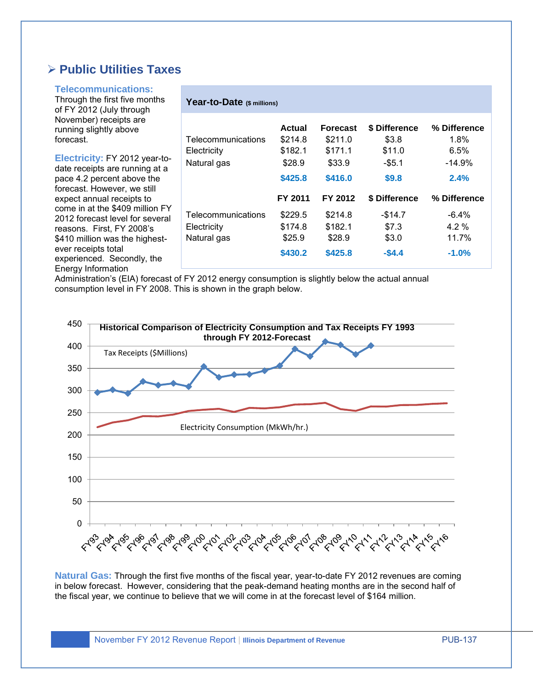# **Public Utilities Taxes**

#### **Telecommunications:**

Through the first five months of FY 2012 (July through November) receipts are running slightly above forecast.

**Electricity:** FY 2012 year-todate receipts are running at a pace 4.2 percent above the forecast. However, we still expect annual receipts to come in at the \$409 million FY 2012 forecast level for several reasons. First, FY 2008's \$410 million was the highestever receipts total experienced. Secondly, the Energy Information

|  |  |  |  |  | Year-to-Date (\$ millions) |
|--|--|--|--|--|----------------------------|
|--|--|--|--|--|----------------------------|

|                    | Actual  | <b>Forecast</b> | \$ Difference | % Difference |
|--------------------|---------|-----------------|---------------|--------------|
| Telecommunications | \$214.8 | \$211.0         | \$3.8         | $1.8\%$      |
| Electricity        | \$182.1 | \$171.1         | \$11.0        | 6.5%         |
| Natural gas        | \$28.9  | \$33.9          | $-$ \$5.1     | $-14.9%$     |
|                    | \$425.8 | \$416.0         | \$9.8         | 2.4%         |
|                    |         |                 |               |              |
|                    | FY 2011 | FY 2012         | \$ Difference | % Difference |
| Telecommunications | \$229.5 | \$214.8         | $-$14.7$      | $-6.4\%$     |
| Electricity        | \$174.8 | \$182.1         | \$7.3         | $4.2\%$      |
| Natural gas        | \$25.9  | \$28.9          | \$3.0         | 11.7%        |

Administration's (EIA) forecast of FY 2012 energy consumption is slightly below the actual annual consumption level in FY 2008. This is shown in the graph below.



**Natural Gas:** Through the first five months of the fiscal year, year-to-date FY 2012 revenues are coming in below forecast. However, considering that the peak-demand heating months are in the second half of the fiscal year, we continue to believe that we will come in at the forecast level of \$164 million.

November FY 2012 Revenue Report | **Illinois Department of Revenue** PUB-137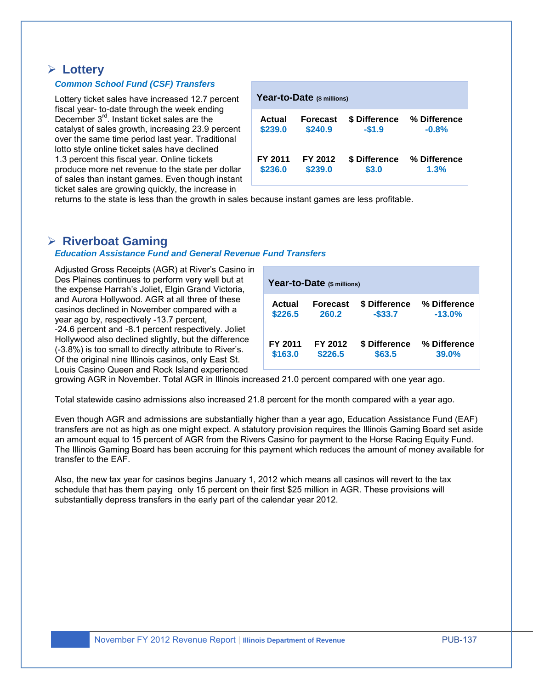### **Lottery**

#### *Common School Fund (CSF) Transfers*

Lottery ticket sales have increased 12.7 percent fiscal year- to-date through the week ending December 3<sup>rd</sup>. Instant ticket sales are the catalyst of sales growth, increasing 23.9 percent over the same time period last year. Traditional lotto style online ticket sales have declined 1.3 percent this fiscal year. Online tickets produce more net revenue to the state per dollar of sales than instant games. Even though instant ticket sales are growing quickly, the increase in

| Year-to-Date (\$ millions) |                 |               |              |  |  |  |  |  |  |  |
|----------------------------|-----------------|---------------|--------------|--|--|--|--|--|--|--|
| Actual                     | <b>Forecast</b> | \$ Difference | % Difference |  |  |  |  |  |  |  |
| \$239.0                    | \$240.9         | $-$1.9$       | $-0.8%$      |  |  |  |  |  |  |  |
| FY 2011                    | FY 2012         | \$ Difference | % Difference |  |  |  |  |  |  |  |
| \$236.0                    | \$239.0         | \$3.0         | 1.3%         |  |  |  |  |  |  |  |

returns to the state is less than the growth in sales because instant games are less profitable.

# **Riverboat Gaming**

#### *Education Assistance Fund and General Revenue Fund Transfers*

Adjusted Gross Receipts (AGR) at River's Casino in Des Plaines continues to perform very well but at the expense Harrah's Joliet, Elgin Grand Victoria, and Aurora Hollywood. AGR at all three of these casinos declined in November compared with a year ago by, respectively -13.7 percent,

-24.6 percent and -8.1 percent respectively. Joliet Hollywood also declined slightly, but the difference (-3.8%) is too small to directly attribute to River's. Of the original nine Illinois casinos, only East St. Louis Casino Queen and Rock Island experienced

| Year-to-Date (\$ millions)             |                    |                             |                          |  |  |  |  |  |  |
|----------------------------------------|--------------------|-----------------------------|--------------------------|--|--|--|--|--|--|
| Actual<br>Forecast<br>\$226.5<br>260.2 |                    | \$ Difference<br>$-$ \$33.7 | % Difference<br>$-13.0%$ |  |  |  |  |  |  |
| FY 2011<br>\$163.0                     | FY 2012<br>\$226.5 | \$ Difference<br>\$63.5     | % Difference<br>39.0%    |  |  |  |  |  |  |

growing AGR in November. Total AGR in Illinois increased 21.0 percent compared with one year ago.

Total statewide casino admissions also increased 21.8 percent for the month compared with a year ago.

Even though AGR and admissions are substantially higher than a year ago, Education Assistance Fund (EAF) transfers are not as high as one might expect. A statutory provision requires the Illinois Gaming Board set aside an amount equal to 15 percent of AGR from the Rivers Casino for payment to the Horse Racing Equity Fund. The Illinois Gaming Board has been accruing for this payment which reduces the amount of money available for transfer to the EAF.

Also, the new tax year for casinos begins January 1, 2012 which means all casinos will revert to the tax schedule that has them paying only 15 percent on their first \$25 million in AGR. These provisions will substantially depress transfers in the early part of the calendar year 2012.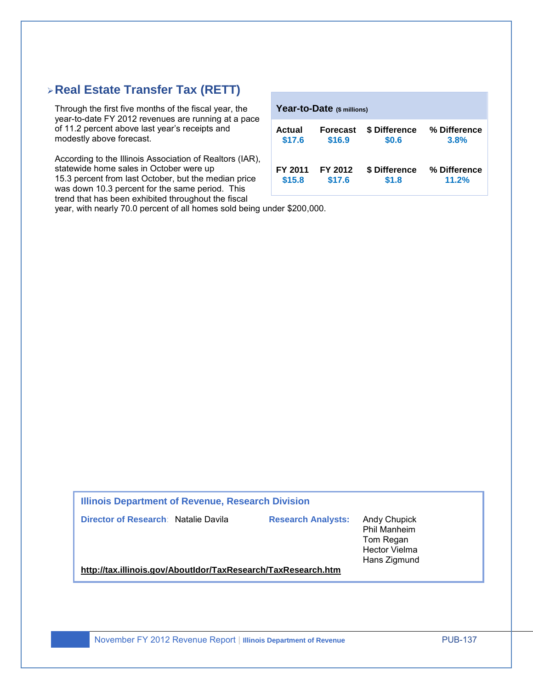# **Real Estate Transfer Tax (RETT)**

Through the first five months of the fiscal year, the year-to-date FY 2012 revenues are running at a pace of 11.2 percent above last year's receipts and modestly above forecast.

According to the Illinois Association of Realtors (IAR), statewide home sales in October were up 15.3 percent from last October, but the median price was down 10.3 percent for the same period. This trend that has been exhibited throughout the fiscal

| Year-to-Date (\$ millions) |                 |               |              |  |  |  |  |  |  |  |  |
|----------------------------|-----------------|---------------|--------------|--|--|--|--|--|--|--|--|
| Actual                     | <b>Forecast</b> | \$ Difference | % Difference |  |  |  |  |  |  |  |  |
| \$17.6                     | \$16.9          | \$0.6         | 3.8%         |  |  |  |  |  |  |  |  |
| FY 2011                    | FY 2012         | \$ Difference | % Difference |  |  |  |  |  |  |  |  |
| \$15.8                     | \$17.6          | \$1.8         | 11.2%        |  |  |  |  |  |  |  |  |

year, with nearly 70.0 percent of all homes sold being under \$200,000.

**Illinois Department of Revenue, Research Division** 

**Director of Research**: Natalie Davila **Research Analysts:** Andy Chupick

Phil Manheim Tom Regan Hector Vielma Hans Zigmund

**<http://tax.illinois.gov/AboutIdor/TaxResearch/TaxResearch.htm>**